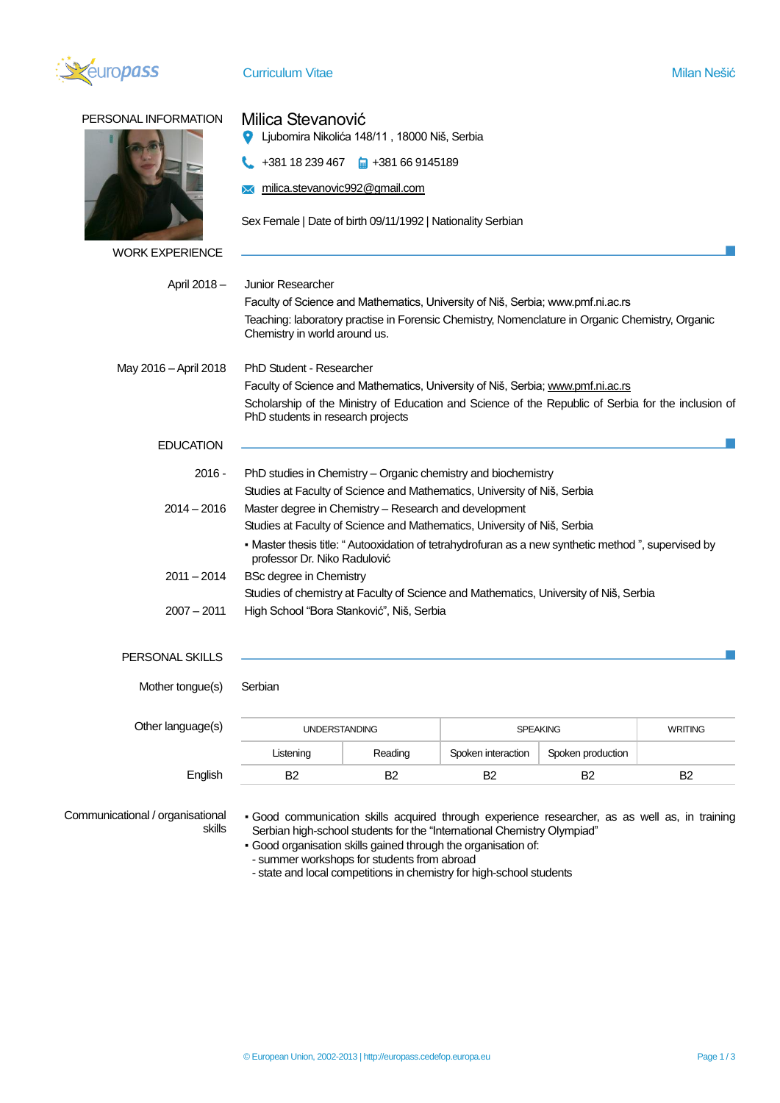

| PERSONAL INFORMATION   | Milica Stevanović<br>Ljubomira Nikolića 148/11, 18000 Niš, Serbia                                                                        |                 |                |  |  |
|------------------------|------------------------------------------------------------------------------------------------------------------------------------------|-----------------|----------------|--|--|
|                        | $+381$ 18 239 467 $\Box$ +381 66 9145189                                                                                                 |                 |                |  |  |
|                        | milica.stevanovic992@gmail.com                                                                                                           |                 |                |  |  |
|                        |                                                                                                                                          |                 |                |  |  |
|                        | Sex Female   Date of birth 09/11/1992   Nationality Serbian                                                                              |                 |                |  |  |
| <b>WORK EXPERIENCE</b> |                                                                                                                                          |                 |                |  |  |
| April 2018 –           | <b>Junior Researcher</b>                                                                                                                 |                 |                |  |  |
|                        | Faculty of Science and Mathematics, University of Niš, Serbia; www.pmf.ni.ac.rs                                                          |                 |                |  |  |
|                        | Teaching: laboratory practise in Forensic Chemistry, Nomenclature in Organic Chemistry, Organic<br>Chemistry in world around us.         |                 |                |  |  |
| May 2016 - April 2018  | PhD Student - Researcher                                                                                                                 |                 |                |  |  |
|                        | Faculty of Science and Mathematics, University of Niš, Serbia; www.pmf.ni.ac.rs                                                          |                 |                |  |  |
|                        | Scholarship of the Ministry of Education and Science of the Republic of Serbia for the inclusion of<br>PhD students in research projects |                 |                |  |  |
| <b>EDUCATION</b>       |                                                                                                                                          |                 |                |  |  |
| 2016 -                 | PhD studies in Chemistry – Organic chemistry and biochemistry                                                                            |                 |                |  |  |
|                        | Studies at Faculty of Science and Mathematics, University of Niš, Serbia                                                                 |                 |                |  |  |
| $2014 - 2016$          | Master degree in Chemistry - Research and development                                                                                    |                 |                |  |  |
|                        | Studies at Faculty of Science and Mathematics, University of Niš, Serbia                                                                 |                 |                |  |  |
|                        | - Master thesis title: "Autooxidation of tetrahydrofuran as a new synthetic method", supervised by<br>professor Dr. Niko Radulović       |                 |                |  |  |
| 2011 - 2014            | <b>BSc degree in Chemistry</b>                                                                                                           |                 |                |  |  |
|                        | Studies of chemistry at Faculty of Science and Mathematics, University of Niš, Serbia                                                    |                 |                |  |  |
| 2007 - 2011            | High School "Bora Stanković", Niš, Serbia                                                                                                |                 |                |  |  |
| PERSONAL SKILLS        |                                                                                                                                          |                 |                |  |  |
| Mother tongue(s)       | Serbian                                                                                                                                  |                 |                |  |  |
|                        |                                                                                                                                          |                 |                |  |  |
| Other language(s)      | <b>UNDERSTANDING</b>                                                                                                                     | <b>SPEAKING</b> | <b>WRITING</b> |  |  |

| <b>UNDERSTANDING</b> |         | <b>SPEAKING</b>    |                   | <b>WRITING</b> |
|----------------------|---------|--------------------|-------------------|----------------|
| Listening            | Reading | Spoken interaction | Spoken production |                |
| B2                   |         | B2                 | B2                | B2             |
|                      |         |                    |                   |                |

Communicational / organisational skills

▪ Good communication skills acquired through experience researcher, as as well as, in training Serbian high-school students for the "International Chemistry Olympiad"

- Good organisation skills gained through the organisation of:
- summer workshops for students from abroad
- state and local competitions in chemistry for high-school students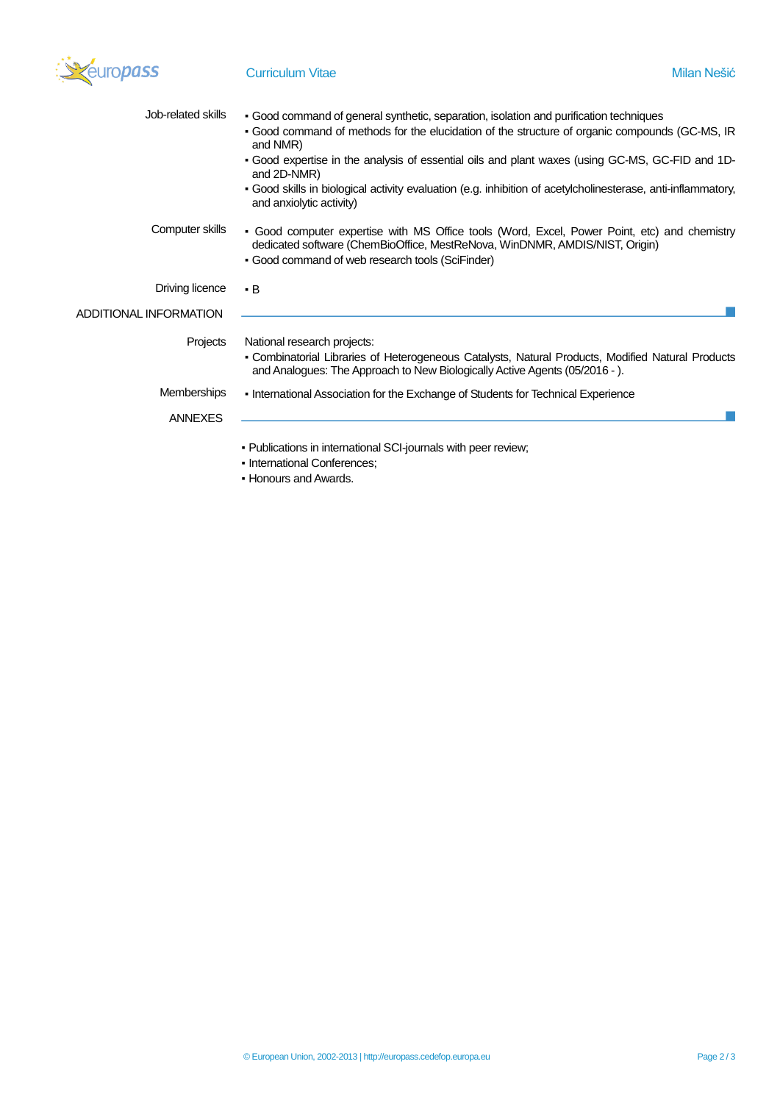

| Job-related skills     |                                                                                                                                                                                                                                 |
|------------------------|---------------------------------------------------------------------------------------------------------------------------------------------------------------------------------------------------------------------------------|
|                        | • Good command of general synthetic, separation, isolation and purification techniques<br>. Good command of methods for the elucidation of the structure of organic compounds (GC-MS, IR<br>and NMR)                            |
|                        | - Good expertise in the analysis of essential oils and plant waxes (using GC-MS, GC-FID and 1D-<br>and 2D-NMR)                                                                                                                  |
|                        | • Good skills in biological activity evaluation (e.g. inhibition of acetylcholinesterase, anti-inflammatory,<br>and anxiolytic activity)                                                                                        |
| Computer skills        | • Good computer expertise with MS Office tools (Word, Excel, Power Point, etc) and chemistry<br>dedicated software (ChemBioOffice, MestReNova, WinDNMR, AMDIS/NIST, Origin)<br>• Good command of web research tools (SciFinder) |
| Driving licence        | $\cdot$ B                                                                                                                                                                                                                       |
| ADDITIONAL INFORMATION |                                                                                                                                                                                                                                 |
| Projects               | National research projects:<br>• Combinatorial Libraries of Heterogeneous Catalysts, Natural Products, Modified Natural Products                                                                                                |
|                        | and Analogues: The Approach to New Biologically Active Agents (05/2016 - ).                                                                                                                                                     |
| <b>Memberships</b>     | • International Association for the Exchange of Students for Technical Experience                                                                                                                                               |
| <b>ANNEXES</b>         |                                                                                                                                                                                                                                 |
|                        | . Publications in international SCI-journals with peer review;                                                                                                                                                                  |
|                        | - International Conferences;                                                                                                                                                                                                    |

▪ Honours and Awards.